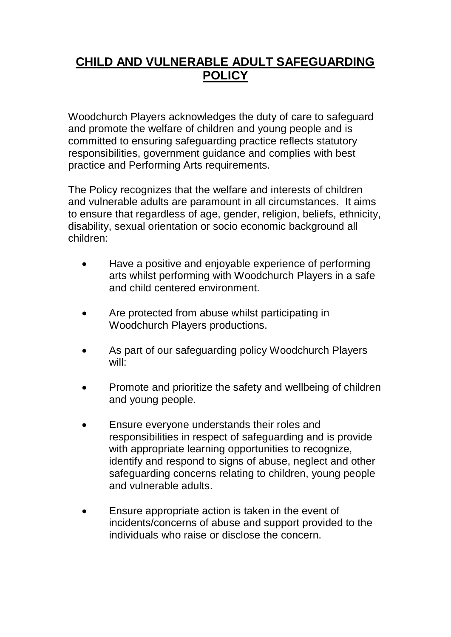## **CHILD AND VULNERABLE ADULT SAFEGUARDING POLICY**

Woodchurch Players acknowledges the duty of care to safeguard and promote the welfare of children and young people and is committed to ensuring safeguarding practice reflects statutory responsibilities, government guidance and complies with best practice and Performing Arts requirements.

The Policy recognizes that the welfare and interests of children and vulnerable adults are paramount in all circumstances. It aims to ensure that regardless of age, gender, religion, beliefs, ethnicity, disability, sexual orientation or socio economic background all children:

- Have a positive and enjoyable experience of performing arts whilst performing with Woodchurch Players in a safe and child centered environment.
- Are protected from abuse whilst participating in Woodchurch Players productions.
- As part of our safeguarding policy Woodchurch Players will:
- Promote and prioritize the safety and wellbeing of children and young people.
- Ensure everyone understands their roles and responsibilities in respect of safeguarding and is provide with appropriate learning opportunities to recognize, identify and respond to signs of abuse, neglect and other safeguarding concerns relating to children, young people and vulnerable adults.
- Ensure appropriate action is taken in the event of incidents/concerns of abuse and support provided to the individuals who raise or disclose the concern.